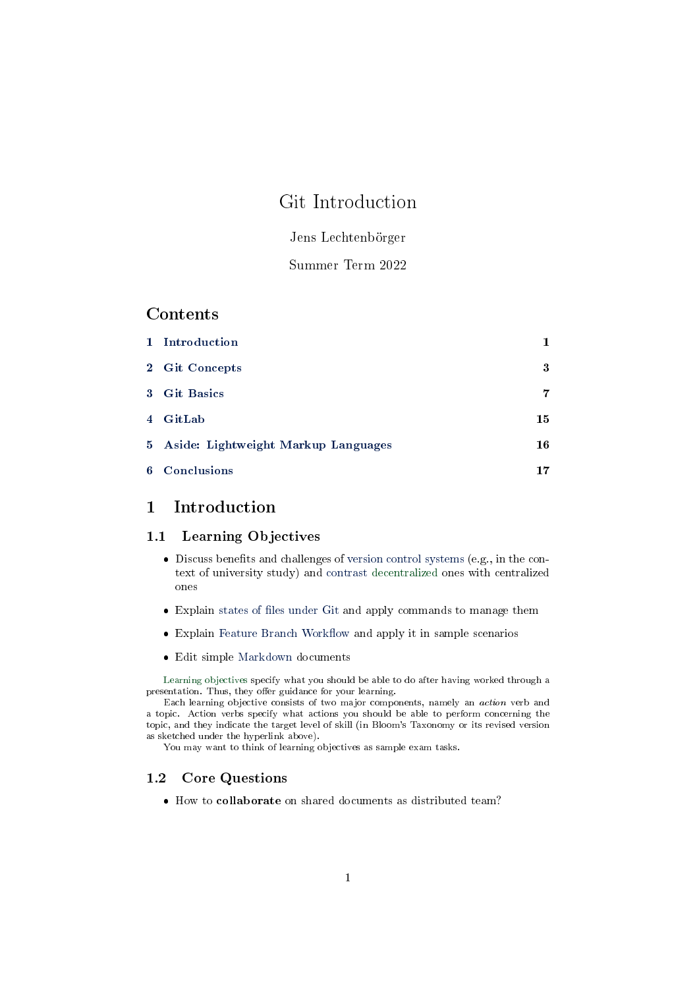# <span id="page-0-1"></span>Git Introduction

## Jens Lechtenbörger

## Summer Term 2022

## Contents

| 1 Introduction                        |    |
|---------------------------------------|----|
| 2 Git Concepts                        | 3  |
| 3 Git Basics                          | 7  |
| 4 GitLab                              | 15 |
| 5 Aside: Lightweight Markup Languages | 16 |
| 6 Conclusions                         | 17 |

## <span id="page-0-0"></span>1 Introduction

#### 1.1 Learning Objectives

- $\bullet$  Discuss benefits and challenges of [version control systems](#page-2-1) (e.g., in the context of university study) and [contrast](#page-6-1) [decentralized](https://en.wikipedia.org/wiki/Decentralization) ones with centralized ones
- Explain states of files under Git and apply commands to manage them
- $\bullet$  Explain Feature Branch Workflow and apply it in sample scenarios
- Edit simple [Markdown](#page-15-1) documents

[Learning objectives](https://cft.vanderbilt.edu/guides-sub-pages/blooms-taxonomy/) specify what you should be able to do after having worked through a presentation. Thus, they offer guidance for your learning.

Each learning objective consists of two major components, namely an action verb and a topic. Action verbs specify what actions you should be able to perform concerning the topic, and they indicate the target level of skill (in Bloom's Taxonomy or its revised version as sketched under the hyperlink above).

You may want to think of learning objectives as sample exam tasks.

## 1.2 Core Questions

How to collaborate on shared documents as distributed team?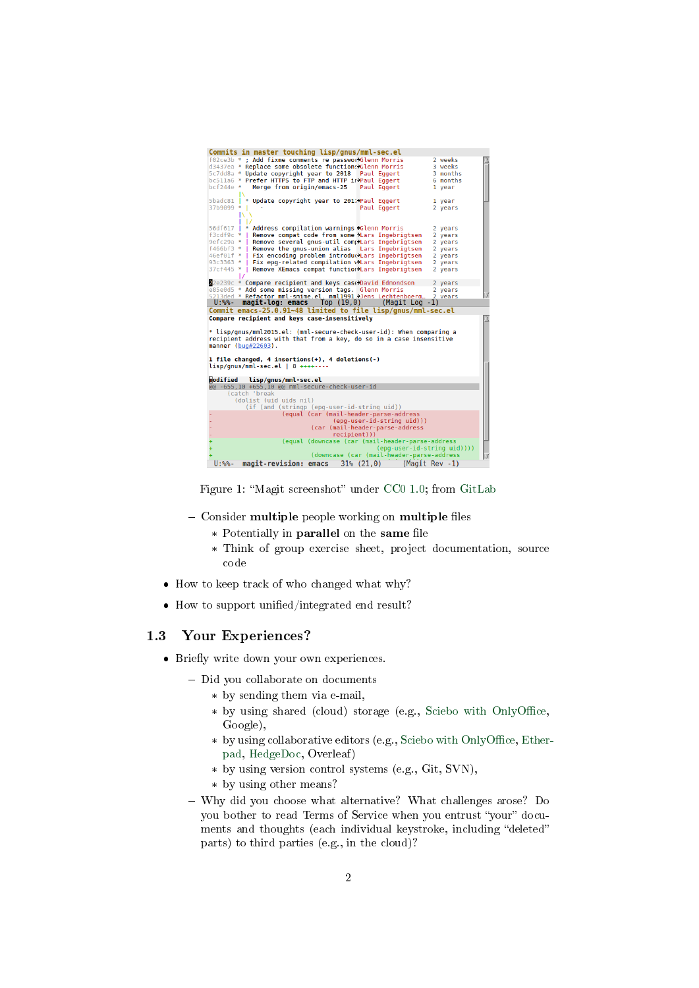| Commits in master touching lisp/gnus/mml-sec.el                                                 |                |  |
|-------------------------------------------------------------------------------------------------|----------------|--|
| f02ce3b * ; Add fixme comments re passworXGlenn Morris                                          | 2 weeks        |  |
| d3437ea * Replace some obsolete functions>Glenn Morris                                          | 3 weeks        |  |
| 5c7dd8a * Update copyright year to 2018<br>Paul Eggert                                          | 3 months       |  |
| bc511a6 * Prefer HTTPS to FTP and HTTP inPaul Eqgert                                            | 6 months       |  |
| $hcf$ 244 $e$ *<br>Merge from origin/emacs-25<br>Paul Eggert                                    | 1 year         |  |
|                                                                                                 |                |  |
| * Update copyright year to 2017Paul Eggert<br>5badc81                                           | 1 year         |  |
| Paul Eggert<br>37b9099 *                                                                        | 2 years        |  |
|                                                                                                 |                |  |
|                                                                                                 |                |  |
| 56df617   * Address compilation warnings >Glenn Morris                                          | 2 years        |  |
| $f3cdf9c * I$<br>Remove compat code from some Mars Ingebrigtsen                                 |                |  |
|                                                                                                 | 2 years        |  |
| Remove several gnus-util complars Ingebrigtsen<br>$9efc29a * I$                                 | 2 years        |  |
| f466bf3 *   Remove the gnus-union alias Lars Ingebrigtsen                                       | 2 years        |  |
| 46ef01f *   Fix encoding problem introduclars Ingebrigtsen                                      | 2 years        |  |
| Fix epg-related compilation vilars Ingebrigtsen<br>$93c3363 * 1$                                | 2 years        |  |
| Remove XEmacs compat function Lars Ingebrigtsen<br>37cf445 *                                    | 2 vears        |  |
|                                                                                                 |                |  |
| 22e239c * Compare recipient and keys case>David Edmondson                                       | 2 years        |  |
| e85e0d5 * Add some missing version tags. Glenn Morris                                           | 2 years        |  |
|                                                                                                 |                |  |
| 5213ded * Refactor mml-smime.el. mml1991. Jens Lechtenboerg 2 vears                             |                |  |
| U:%%-<br>$magit-log: emacs$ Top $(19,0)$ (Magit Log -1)                                         |                |  |
| Commit emacs-25.0.91~48 limited to file lisp/gnus/mml-sec.el                                    |                |  |
| Compare recipient and keys case-insensitively                                                   |                |  |
|                                                                                                 |                |  |
| * lisp/qnus/mml2015.el: (mml-secure-check-user-id): When comparing a                            |                |  |
| recipient address with that from a key, do so in a case insensitive                             |                |  |
| manner $(buq#22603)$ .                                                                          |                |  |
|                                                                                                 |                |  |
| 1 file changed, 4 insertions(+), 4 deletions(-)                                                 |                |  |
| $lisp/gnus/mml-sec.el$   8 ++++----                                                             |                |  |
|                                                                                                 |                |  |
| modified lisp/gnus/mml-sec.el                                                                   |                |  |
|                                                                                                 |                |  |
| @@ -655,10 +655,10 @@ mml-secure-check-user-id<br>(catch 'break                                 |                |  |
|                                                                                                 |                |  |
| (dolist (uid uids nil)                                                                          |                |  |
| (if (and (stringp (epg-user-id-string uid))                                                     |                |  |
| (equal (car (mail-header-parse-address                                                          |                |  |
| (epg-user-id-string uid)))                                                                      |                |  |
| (car (mail-header-parse-address                                                                 |                |  |
| recipient)))                                                                                    |                |  |
| (equal (downcase (car (mail-header-parse-address                                                |                |  |
| $(epa-user-id-string uid())$                                                                    |                |  |
| (downcase (car (mail-header-parse-address<br>$31\%$ $(21, 0)$<br>magit-revision: emacs<br>U:%%- | (Magit Rev -1) |  |

Figure 1: "Magit screenshot" under [CC0 1.0;](https://creativecommons.org/publicdomain/zero/1.0/) from [GitLab](https://gitlab.com/oer/figures/blob/master/screenshots/magit.png)

- Consider multiple people working on multiple files
	- \* Potentially in parallel on the same file
	- \* Think of group exercise sheet, project documentation, source code
- How to keep track of who changed what why?
- $\bullet$  How to support unified/integrated end result?

#### 1.3 Your Experiences?

- Briefly write down your own experiences.
	- Did you collaborate on documents
		- \* by sending them via e-mail,
		- \* by using shared (cloud) storage (e.g., Sciebo with OnlyOffice, Google),
		- \* by using collaborative editors (e.g., Sciebo with OnlyOffice, [Ether](https://pad.riseup.net/)[pad,](https://pad.riseup.net/) [HedgeDoc,](https://pad.uni-muenster.de/) Overleaf)
		- \* by using version control systems (e.g., Git, SVN),
		- \* by using other means?
	- Why did you choose what alternative? What challenges arose? Do you bother to read Terms of Service when you entrust "your" documents and thoughts (each individual keystroke, including "deleted" parts) to third parties (e.g., in the cloud)?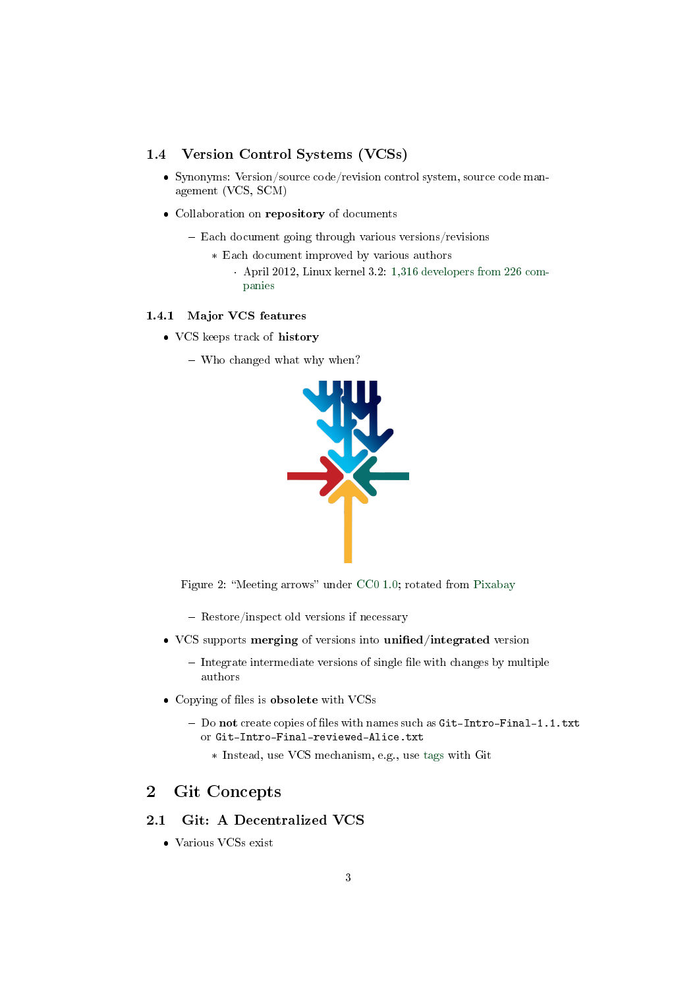### <span id="page-2-1"></span>1.4 Version Control Systems (VCSs)

- Synonyms: Version/source code/revision control system, source code management (VCS, SCM)
- Collaboration on repository of documents
	- Each document going through various versions/revisions
		- \* Each document improved by various authors
			- · April 2012, Linux kernel 3.2: [1,316 developers from 226 com](https://www.linux.com/training-tutorials/counting-contributions-who-wrote-linux-32/)[panies](https://www.linux.com/training-tutorials/counting-contributions-who-wrote-linux-32/)

#### 1.4.1 Major VCS features

- VCS keeps track of history
	- Who changed what why when?



Figure 2: "Meeting arrows" under [CC0 1.0;](https://creativecommons.org/publicdomain/zero/1.0/) rotated from [Pixabay](https://pixabay.com/en/arrows-center-inside-middle-2033963/)

- Restore/inspect old versions if necessary
- VCS supports merging of versions into unified/integrated version
	- $-$  Integrate intermediate versions of single file with changes by multiple authors
- Copying of files is obsolete with VCSs
	- $-$  Do not create copies of files with names such as Git-Intro-Final-1.1.txt or Git-Intro-Final-reviewed-Alice.txt
		- \* Instead, use VCS mechanism, e.g., use [tags](https://git-scm.com/book/en/v2/Git-Basics-Tagging) with Git

## <span id="page-2-0"></span>2 Git Concepts

### 2.1 Git: A Decentralized VCS

Various VCSs exist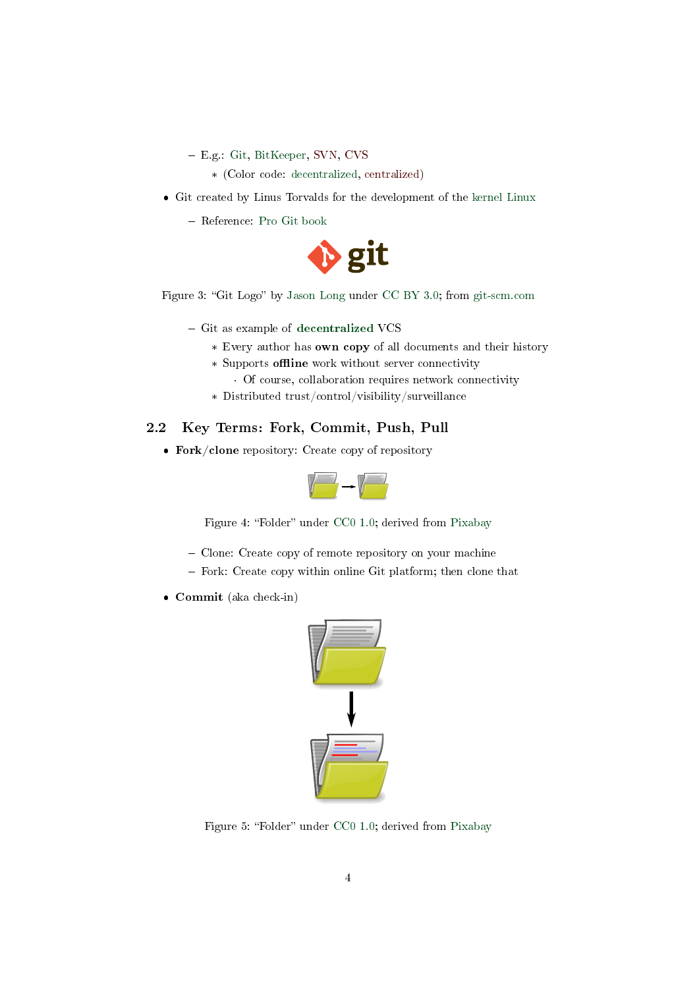- E.g.: Git, BitKeeper, SVN, CVS
	- \* (Color code: decentralized, centralized)
- Git created by Linus Torvalds for the development of the [kernel Linux](https://www.kernel.org/)
	- Reference: [Pro Git book](https://git-scm.com/book/en/v2)



Figure 3: "Git Logo" by [Jason Long](https://twitter.com/jasonlong) under [CC BY 3.0;](https://creativecommons.org/licenses/by/3.0/) from [git-scm.com](https://git-scm.com/images/logos/downloads/Git-Logo-2Color.png)

- $-$  Git as example of [decentralized](https://en.wikipedia.org/wiki/Decentralization) VCS
	- \* Every author has own copy of all documents and their history
	- \* Supports offline work without server connectivity

· Of course, collaboration requires network connectivity

\* Distributed trust/control/visibility/surveillance

## <span id="page-3-0"></span>2.2 Key Terms: Fork, Commit, Push, Pull

Fork/clone repository: Create copy of repository



Figure 4: "Folder" under [CC0 1.0;](https://creativecommons.org/publicdomain/zero/1.0/) derived from [Pixabay](https://pixabay.com/en/folder-files-paper-office-document-303891/)

- Clone: Create copy of remote repository on your machine
- Fork: Create copy within online Git platform; then clone that
- Commit (aka check-in)



Figure 5: "Folder" under [CC0 1.0;](https://creativecommons.org/publicdomain/zero/1.0/) derived from [Pixabay](https://pixabay.com/en/folder-files-paper-office-document-303891/)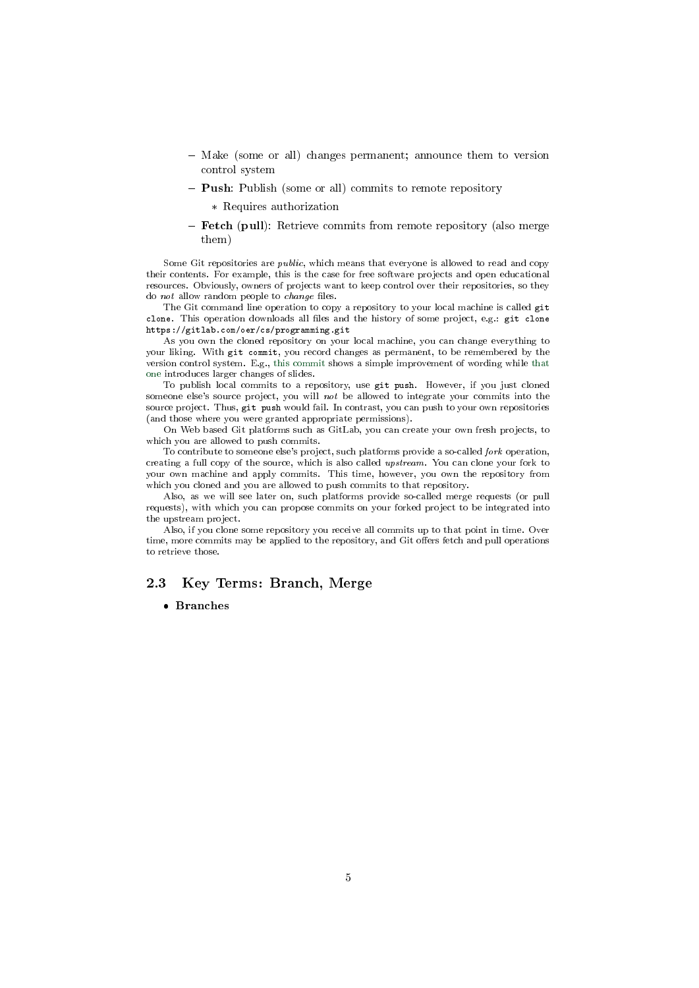- Make (some or all) changes permanent; announce them to version control system
- **Push**: Publish (some or all) commits to remote repository
	- \* Requires authorization
- Fetch (pull): Retrieve commits from remote repository (also merge them)

Some Git repositories are public, which means that everyone is allowed to read and copy their contents. For example, this is the case for free software projects and open educational resources. Obviously, owners of projects want to keep control over their repositories, so they do  $not$  allow random people to  $change$  files.

The Git command line operation to copy a repository to your local machine is called git clone. This operation downloads all files and the history of some project, e.g.: git clone https://gitlab.com/oer/cs/programming.git

As you own the cloned repository on your local machine, you can change everything to your liking. With git commit, you record changes as permanent, to be remembered by the version control system. E.g., [this commit](https://gitlab.com/oer/cs/programming/-/commit/791ef5c4e32ba1283d5c4739bf20c2d94a3e1110) shows a simple improvement of wording while [that](https://gitlab.com/oer/cs/programming/-/commit/6df5fc807b0f9bacb0f9aa44674f65556c3e7fbb) [one](https://gitlab.com/oer/cs/programming/-/commit/6df5fc807b0f9bacb0f9aa44674f65556c3e7fbb) introduces larger changes of slides.

To publish local commits to a repository, use git push. However, if you just cloned someone else's source project, you will not be allowed to integrate your commits into the source project. Thus, git push would fail. In contrast, you can push to your own repositories (and those where you were granted appropriate permissions).

On Web based Git platforms such as GitLab, you can create your own fresh projects, to which you are allowed to push commits.

To contribute to someone else's project, such platforms provide a so-called fork operation, creating a full copy of the source, which is also called upstream. You can clone your fork to your own machine and apply commits. This time, however, you own the repository from which you cloned and you are allowed to push commits to that repository.

Also, as we will see later on, such platforms provide so-called merge requests (or pull requests), with which you can propose commits on your forked project to be integrated into the upstream project.

Also, if you clone some repository you receive all commits up to that point in time. Over time, more commits may be applied to the repository, and Git offers fetch and pull operations to retrieve those.

### <span id="page-4-0"></span>2.3 Key Terms: Branch, Merge

#### Branches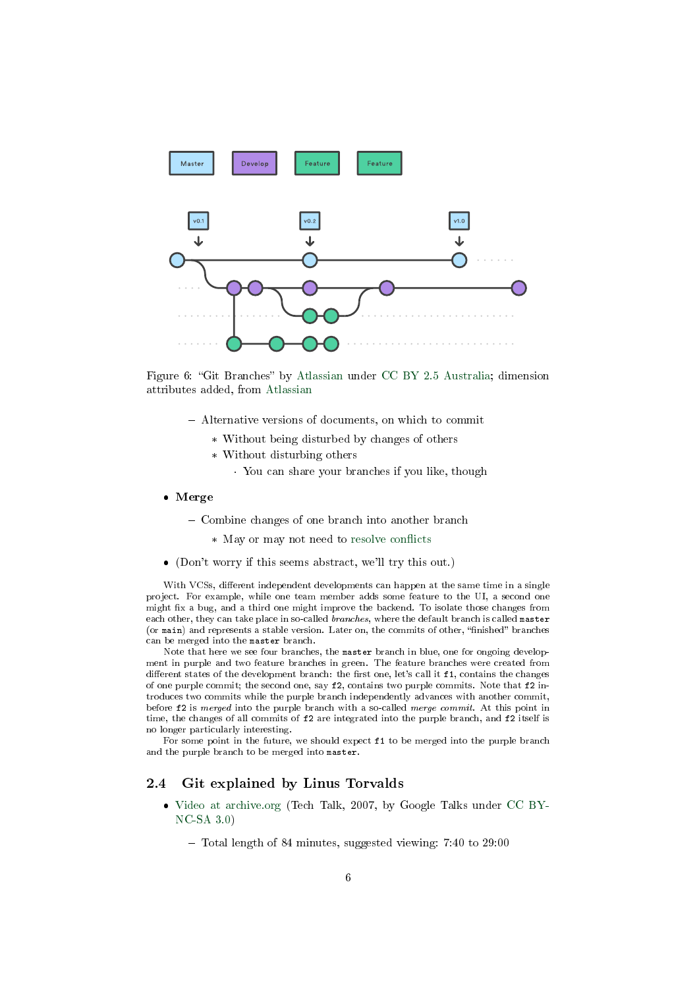

Figure 6: "Git Branches" by [Atlassian](https://www.atlassian.com/git/tutorials/comparing-workflows/gitflow-workflow) under [CC BY 2.5 Australia;](https://creativecommons.org/licenses/by/2.5/au/) dimension attributes added, from [Atlassian](https://www.atlassian.com/git/tutorials/comparing-workflows/gitflow-workflow)

- Alternative versions of documents, on which to commit
	- \* Without being disturbed by changes of others
	- \* Without disturbing others
		- · You can share your branches if you like, though
- Merge
	- Combine changes of one branch into another branch
		- \* May or may not need to resolve conflicts
- (Don't worry if this seems abstract, we'll try this out.)

With VCSs, different independent developments can happen at the same time in a single project. For example, while one team member adds some feature to the UI, a second one might fix a bug, and a third one might improve the backend. To isolate those changes from each other, they can take place in so-called *branches*, where the default branch is called master (or main) and represents a stable version. Later on, the commits of other, "finished" branches can be merged into the master branch.

Note that here we see four branches, the master branch in blue, one for ongoing development in purple and two feature branches in green. The feature branches were created from different states of the development branch: the first one, let's call it f1, contains the changes of one purple commit; the second one, say  $f2$ , contains two purple commits. Note that  $f2$  introduces two commits while the purple branch independently advances with another commit, before f2 is merged into the purple branch with a so-called merge commit. At this point in time, the changes of all commits of f2 are integrated into the purple branch, and f2 itself is no longer particularly interesting.

For some point in the future, we should expect f1 to be merged into the purple branch and the purple branch to be merged into master.

#### 2.4 Git explained by Linus Torvalds

- [Video at archive.org](https://archive.org/details/LinusTorvaldsOnGittechTalk) (Tech Talk, 2007, by Google Talks under [CC BY-](https://creativecommons.org/licenses/by-nc-sa/3.0/)[NC-SA 3.0\)](https://creativecommons.org/licenses/by-nc-sa/3.0/)
	- Total length of 84 minutes, suggested viewing: 7:40 to 29:00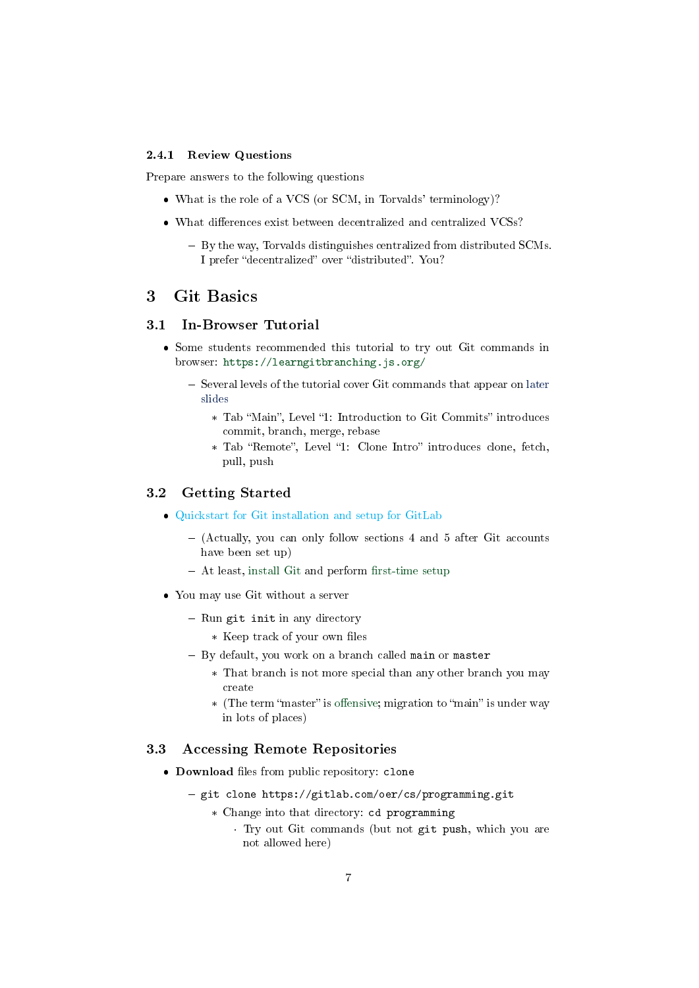#### <span id="page-6-1"></span>2.4.1 Review Questions

Prepare answers to the following questions

- What is the role of a VCS (or SCM, in Torvalds' terminology)?
- $\bullet$  What differences exist between decentralized and centralized VCSs?
	- By the way, Torvalds distinguishes centralized from distributed SCMs. I prefer "decentralized" over "distributed". You?

## <span id="page-6-0"></span>3 Git Basics

## 3.1 In-Browser Tutorial

- Some students recommended this tutorial to try out Git commands in browser: <https://learngitbranching.js.org/>
	- Several levels of the tutorial cover Git commands that appear on [later](#page-7-0) [slides](#page-7-0)
		- \* Tab "Main", Level "1: Introduction to Git Commits" introduces commit, branch, merge, rebase
		- \* Tab "Remote", Level "1: Clone Intro" introduces clone, fetch, pull, push

#### 3.2 Getting Started

- [Quickstart for Git installation and setup for GitLab](#page-0-1)
	- (Actually, you can only follow sections 4 and 5 after Git accounts have been set up)
	- $-$  At least, [install Git](https://git-scm.com/book/en/v2/Getting-Started-Installing-Git) and perform fi[rst-time setup](https://git-scm.com/book/en/v2/Getting-Started-First-Time-Git-Setup)
- You may use Git without a server
	- Run git init in any directory
		- \* Keep track of your own files
	- By default, you work on a branch called main or master
		- \* That branch is not more special than any other branch you may create
		- \* (The term "master" is offensive; migration to "main" is under way in lots of places)

#### 3.3 Accessing Remote Repositories

- Download files from public repository: clone
	- git clone https://gitlab.com/oer/cs/programming.git
		- \* Change into that directory: cd programming
			- · Try out Git commands (but not git push, which you are not allowed here)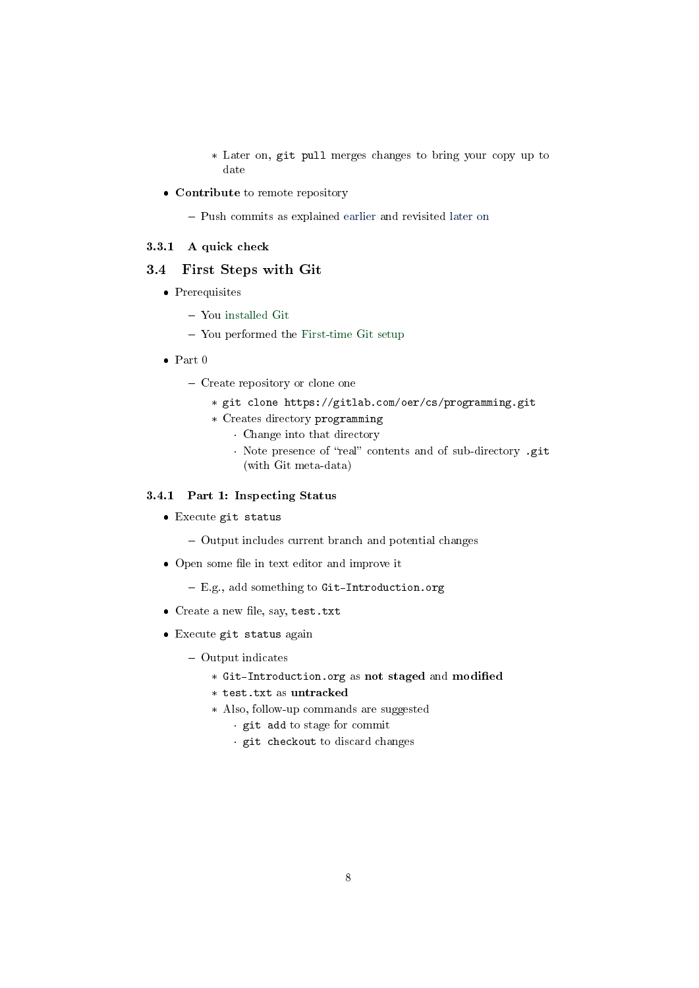\* Later on, git pull merges changes to bring your copy up to date

Contribute to remote repository

- Push commits as explained [earlier](#page-3-0) and revisited [later on](#page-10-1)

#### 3.3.1 A quick check

### <span id="page-7-0"></span>3.4 First Steps with Git

- Prerequisites
	- You [installed Git](https://git-scm.com/book/en/v2/Getting-Started-Installing-Git)
	- You performed the [First-time Git setup](https://git-scm.com/book/en/v2/Getting-Started-First-Time-Git-Setup)
- Part 0
	- Create repository or clone one
		- \* git clone https://gitlab.com/oer/cs/programming.git
		- \* Creates directory programming
			- · Change into that directory
			- · Note presence of "real" contents and of sub-directory .git (with Git meta-data)

#### 3.4.1 Part 1: Inspecting Status

- Execute git status
	- Output includes current branch and potential changes
- Open some file in text editor and improve it
	- E.g., add something to Git-Introduction.org
- $\bullet$  Create a new file, say, test.txt
- Execute git status again
	- Output indicates
		- \* Git-Introduction.org as not staged and modified
		- \* test.txt as untracked
		- \* Also, follow-up commands are suggested
			- · git add to stage for commit
			- · git checkout to discard changes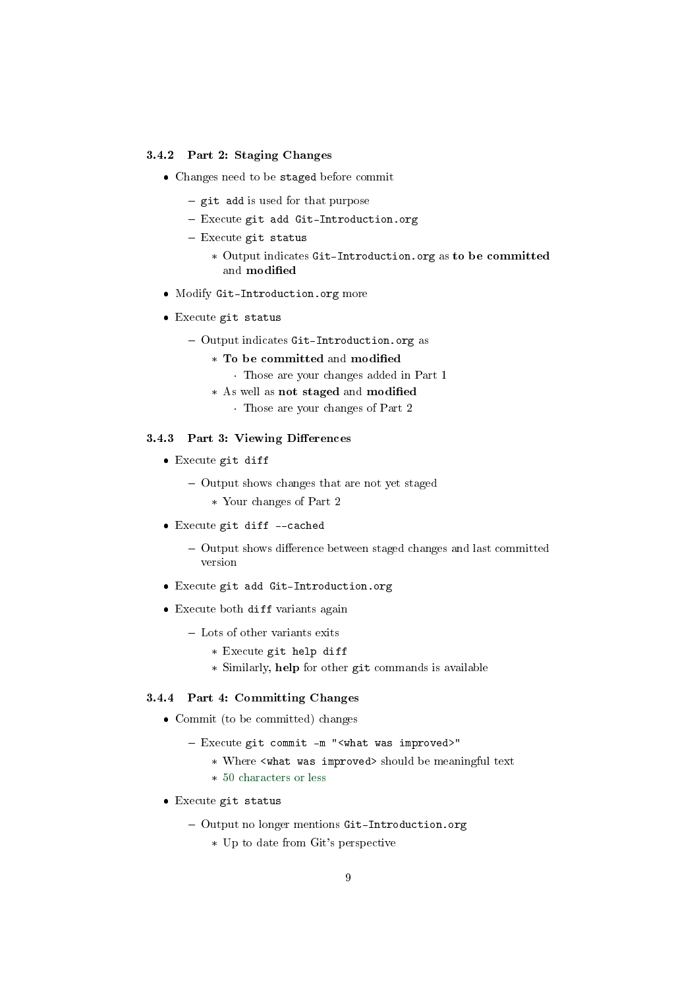#### 3.4.2 Part 2: Staging Changes

- Changes need to be staged before commit
	- $-$  git add is used for that purpose
	- Execute git add Git-Introduction.org
	- $-$  Execute git status
		- \* Output indicates Git-Introduction.org as to be committed and modified
- Modify Git-Introduction.org more
- Execute git status
	- Output indicates Git-Introduction.org as
		- \* To be committed and modified
			- · Those are your changes added in Part 1
		- \* As well as not staged and modified
			- · Those are your changes of Part 2

### 3.4.3 Part 3: Viewing Differences

- Execute git diff
	- Output shows changes that are not yet staged
		- \* Your changes of Part 2
- Execute git diff --cached
	- Output shows difference between staged changes and last committed version
- Execute git add Git-Introduction.org
- Execute both diff variants again
	- Lots of other variants exits
		- \* Execute git help diff
		- \* Similarly, help for other git commands is available

#### 3.4.4 Part 4: Committing Changes

- Commit (to be committed) changes
	- Execute git commit -m "<what was improved>"
		- \* Where <what was improved> should be meaningful text
		- \* [50 characters or less](https://chris.beams.io/posts/git-commit/)
- Execute git status
	- Output no longer mentions Git-Introduction.org
		- \* Up to date from Git's perspective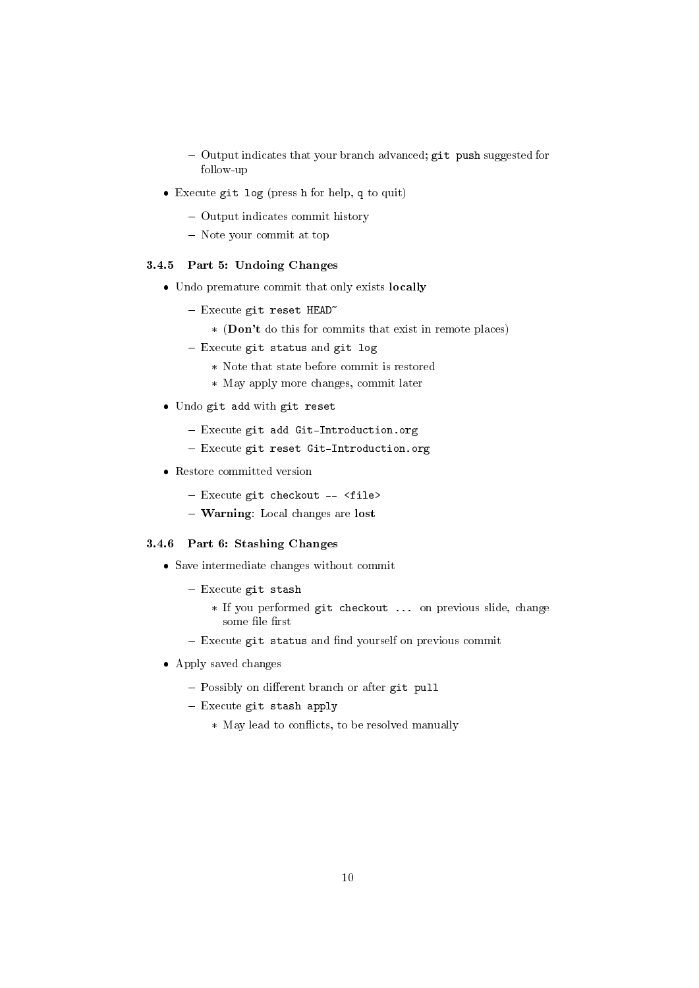- Output indicates that your branch advanced; git push suggested for follow-up
- Execute git log (press h for help, q to quit)
	- Output indicates commit history
	- Note your commit at top

#### 3.4.5 Part 5: Undoing Changes

- Undo premature commit that only exists locally
	- $-$  Execute git reset HEAD<sup> $\sim$ </sup>
		- \* (Don't do this for commits that exist in remote places)
	- $-$  Execute git status and git log
		- \* Note that state before commit is restored
		- \* May apply more changes, commit later
- Undo git add with git reset
	- Execute git add Git-Introduction.org
	- Execute git reset Git-Introduction.org
- Restore committed version
	- Execute git checkout -- <file>
	- Warning: Local changes are lost

#### 3.4.6 Part 6: Stashing Changes

- Save intermediate changes without commit
	- $-$  Execute git stash
		- \* If you performed git checkout ... on previous slide, change some file first
	- $-$  Execute git status and find yourself on previous commit
- Apply saved changes
	- $-$  Possibly on different branch or after git pull
	- Execute git stash apply
		- \* May lead to conflicts, to be resolved manually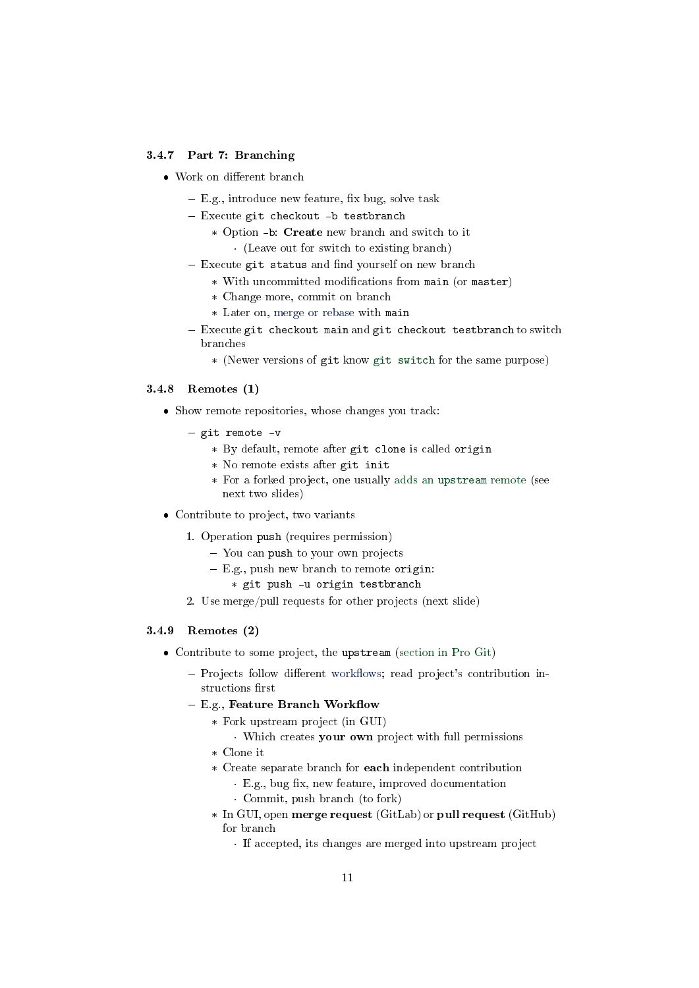#### 3.4.7 Part 7: Branching

- Work on different branch
	- $-$  E.g., introduce new feature, fix bug, solve task
	- Execute git checkout -b testbranch
		- \* Option -b: Create new branch and switch to it · (Leave out for switch to existing branch)
	- $-$  Execute git status and find yourself on new branch
		- \* With uncommitted modifications from main (or master)
			- \* Change more, commit on branch
			- \* Later on, [merge or rebase](#page-12-0) with main
	- $-$  Execute git checkout main and git checkout testbranch to switch branches
		- \* (Newer versions of git know [git switch](https://git-scm.com/docs/git-switch) for the same purpose)

#### <span id="page-10-1"></span>3.4.8 Remotes (1)

- Show remote repositories, whose changes you track:
	- git remote -v
		- \* By default, remote after git clone is called origin
		- \* No remote exists after git init
		- \* For a forked project, one usually adds an [upstream](https://www.atlassian.com/git/tutorials/git-forks-and-upstreams) remote (see next two slides)
- Contribute to project, two variants
	- 1. Operation push (requires permission)
		- You can push to your own projects
		- E.g., push new branch to remote origin:
			- \* git push -u origin testbranch
	- 2. Use merge/pull requests for other projects (next slide)

#### <span id="page-10-0"></span>3.4.9 Remotes (2)

- Contribute to some project, the upstream [\(section in Pro Git\)](https://git-scm.com/book/en/v2/GitHub-Contributing-to-a-Project)
	- Projects follow different workflows; read project's contribution instructions first
	- $-$  E.g., Feature Branch Workflow
		- \* Fork upstream project (in GUI)
		- · Which creates your own project with full permissions
		- \* Clone it
		- \* Create separate branch for each independent contribution
			- E.g., bug fix, new feature, improved documentation
			- · Commit, push branch (to fork)
		- \* In GUI, open merge request (GitLab) or pull request (GitHub) for branch
			- · If accepted, its changes are merged into upstream project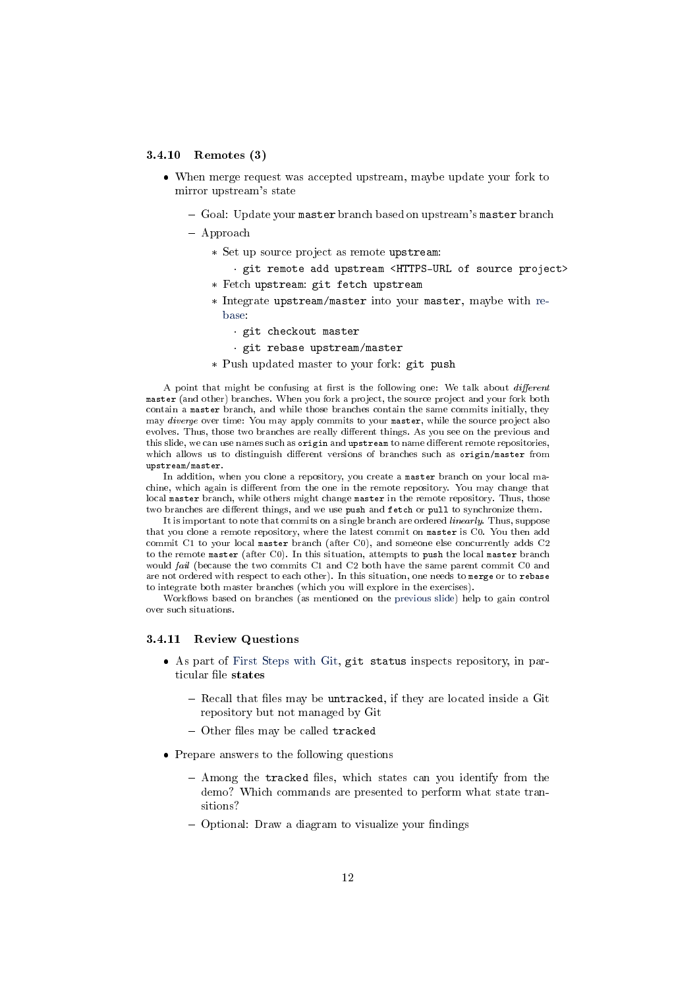#### 3.4.10 Remotes (3)

- When merge request was accepted upstream, maybe update your fork to mirror upstream's state
	- $-$  Goal: Update your master branch based on upstream's master branch
	- Approach
		- \* Set up source project as remote upstream:
			- · git remote add upstream <HTTPS-URL of source project>
		- \* Fetch upstream: git fetch upstream
		- \* Integrate upstream/master into your master, maybe with [re](#page-12-0)[base:](#page-12-0)
			- · git checkout master
			- · git rebase upstream/master
		- \* Push updated master to your fork: git push

A point that might be confusing at first is the following one: We talk about  $different$ master (and other) branches. When you fork a project, the source project and your fork both contain a master branch, and while those branches contain the same commits initially, they may diverge over time: You may apply commits to your master, while the source project also evolves. Thus, those two branches are really different things. As you see on the previous and this slide, we can use names such as origin and upstream to name different remote repositories, which allows us to distinguish different versions of branches such as origin/master from upstream/master.

In addition, when you clone a repository, you create a master branch on your local machine, which again is different from the one in the remote repository. You may change that local master branch, while others might change master in the remote repository. Thus, those two branches are different things, and we use push and fetch or pull to synchronize them.

It is important to note that commits on a single branch are ordered linearly. Thus, suppose that you clone a remote repository, where the latest commit on master is C0. You then add commit C1 to your local master branch (after C0), and someone else concurrently adds C2 to the remote master (after C0). In this situation, attempts to push the local master branch would fail (because the two commits C1 and C2 both have the same parent commit C0 and are not ordered with respect to each other). In this situation, one needs to merge or to rebase to integrate both master branches (which you will explore in the exercises).

Workflows based on branches (as mentioned on the [previous slide\)](#page-10-0) help to gain control over such situations.

#### <span id="page-11-0"></span>3.4.11 Review Questions

- As part of [First Steps with Git,](#page-7-0) git status inspects repository, in particular file states
	- $-$  Recall that files may be untracked, if they are located inside a Git repository but not managed by Git
	- $-$  Other files may be called tracked
- Prepare answers to the following questions
	- Among the tracked files, which states can you identify from the demo? Which commands are presented to perform what state transitions?
	- $-$  Optional: Draw a diagram to visualize your findings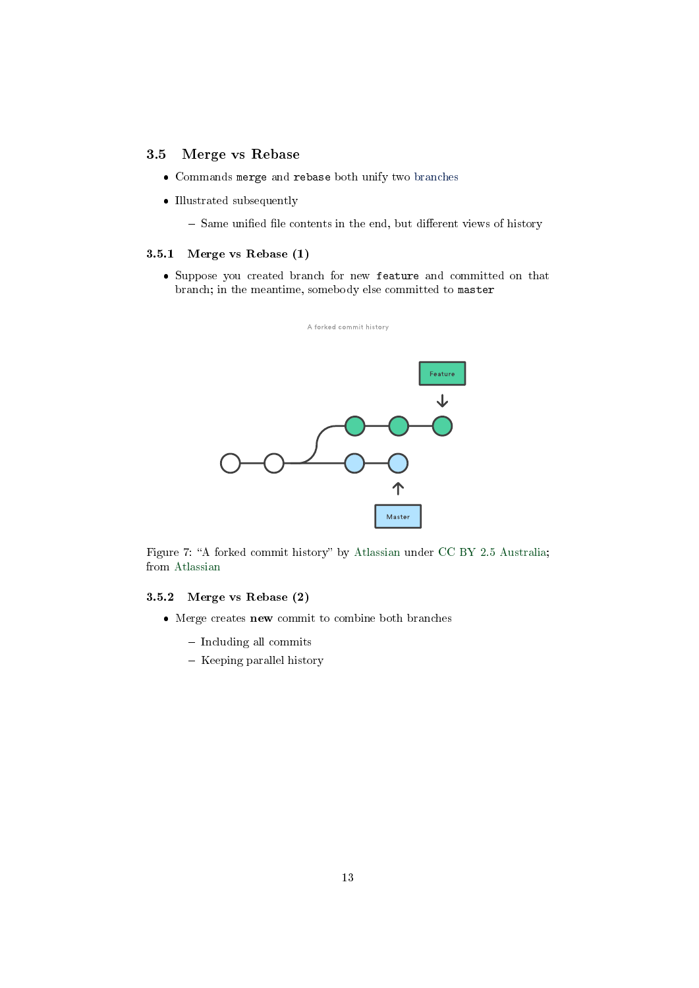### <span id="page-12-0"></span>3.5 Merge vs Rebase

- Commands merge and rebase both unify two [branches](#page-4-0)
- Illustrated subsequently
	- $-$  Same unified file contents in the end, but different views of history

#### 3.5.1 Merge vs Rebase (1)

 Suppose you created branch for new feature and committed on that branch; in the meantime, somebody else committed to master



Figure 7: "A forked commit history" by [Atlassian](https://www.atlassian.com/git/tutorials/merging-vs-rebasing) under [CC BY 2.5 Australia;](https://creativecommons.org/licenses/by/2.5/au/) from [Atlassian](https://www.atlassian.com/git/tutorials/merging-vs-rebasing)

#### 3.5.2 Merge vs Rebase (2)

- Merge creates new commit to combine both branches
	- Including all commits
	- $-$  Keeping parallel history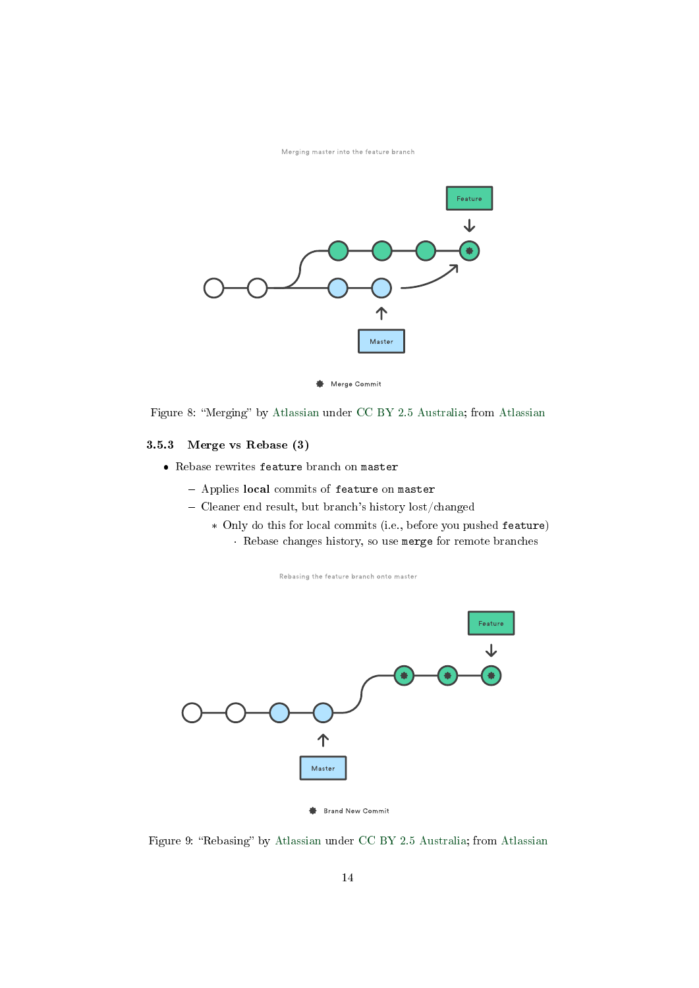Merging master into the feature branch



Figure 8: "Merging" by [Atlassian](https://www.atlassian.com/git/tutorials/merging-vs-rebasing) under [CC BY 2.5 Australia;](https://creativecommons.org/licenses/by/2.5/au/) from Atlassian

### 3.5.3 Merge vs Rebase (3)

- Rebase rewrites feature branch on master
	- Applies local commits of feature on master
	- Cleaner end result, but branch's history lost/changed
		- \* Only do this for local commits (i.e., before you pushed feature) · Rebase changes history, so use merge for remote branches

Rebasing the feature branch onto master



Figure 9: "Rebasing" by [Atlassian](https://www.atlassian.com/git/tutorials/merging-vs-rebasing) under [CC BY 2.5 Australia;](https://creativecommons.org/licenses/by/2.5/au/) from Atlassian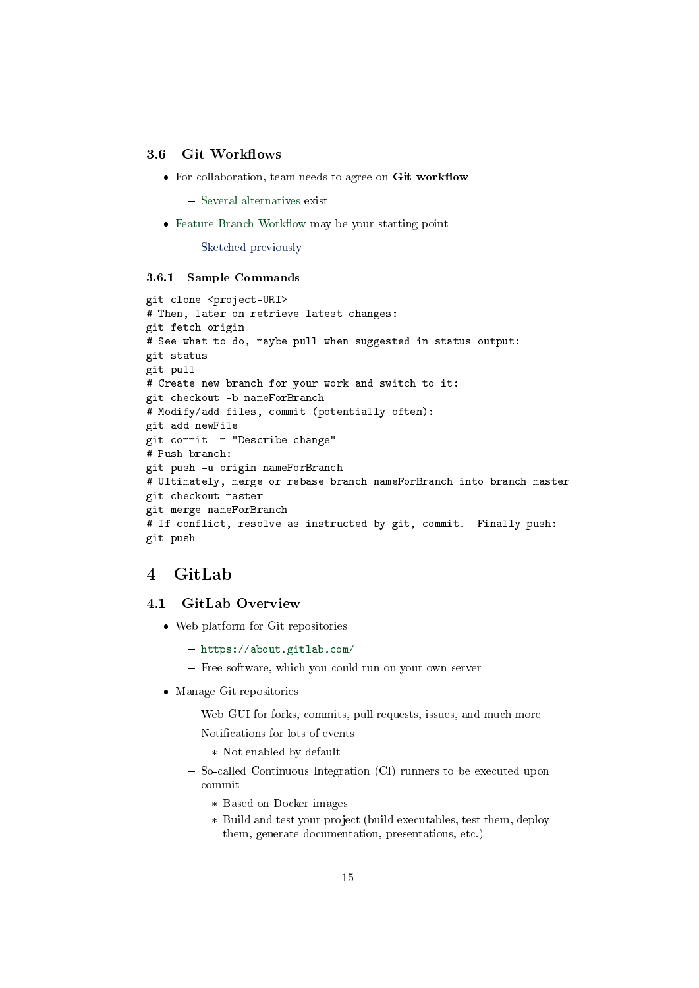### <span id="page-14-1"></span>3.6 Git Workflows

- $\bullet$  For collaboration, team needs to agree on Git workflow
	- [Several alternatives](https://www.atlassian.com/git/tutorials/comparing-workflows) exist
- $\bullet$  Feature Branch Workflow may be your starting point
	- [Sketched previously](#page-10-0)

#### 3.6.1 Sample Commands

```
git clone <project-URI>
# Then, later on retrieve latest changes:
git fetch origin
# See what to do, maybe pull when suggested in status output:
git status
git pull
# Create new branch for your work and switch to it:
git checkout -b nameForBranch
# Modify/add files, commit (potentially often):
git add newFile
git commit -m "Describe change"
# Push branch:
git push -u origin nameForBranch
# Ultimately, merge or rebase branch nameForBranch into branch master
git checkout master
git merge nameForBranch
# If conflict, resolve as instructed by git, commit. Finally push:
git push
```
## <span id="page-14-0"></span>4 GitLab

### 4.1 GitLab Overview

- Web platform for Git repositories
	- <https://about.gitlab.com/>
	- Free software, which you could run on your own server
- Manage Git repositories
	- Web GUI for forks, commits, pull requests, issues, and much more
	- Notifications for lots of events
		- \* Not enabled by default
	- So-called Continuous Integration (CI) runners to be executed upon commit
		- \* Based on Docker images
		- \* Build and test your project (build executables, test them, deploy them, generate documentation, presentations, etc.)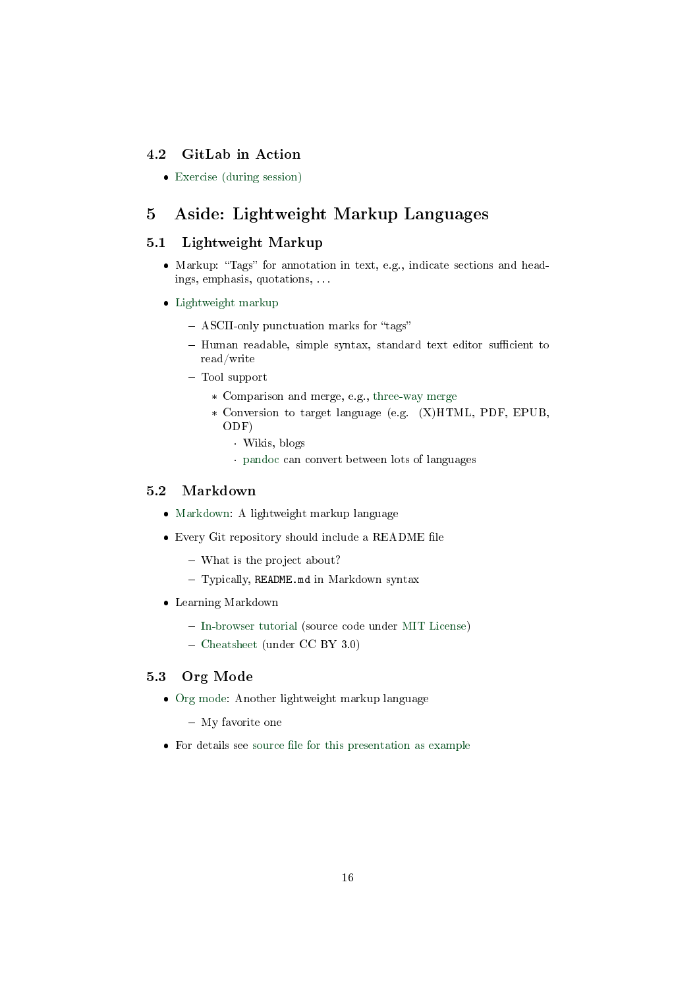### 4.2 GitLab in Action

[Exercise \(during session\)](./texts/Git-Workflow-Instructions.html)

## <span id="page-15-0"></span>5 Aside: Lightweight Markup Languages

### 5.1 Lightweight Markup

- Markup: "Tags" for annotation in text, e.g., indicate sections and headings, emphasis, quotations, . . .
- [Lightweight markup](https://en.wikipedia.org/wiki/Lightweight_markup_language)
	- ASCII-only punctuation marks for "tags"
	- Human readable, simple syntax, standard text editor sufficient to read/write
	- Tool support
		- \* Comparison and merge, e.g., [three-way merge](https://en.wikipedia.org/wiki/Merge_(version_control)#Three-way_merge)
		- \* Conversion to target language (e.g. (X)HTML, PDF, EPUB, ODF)
			- · Wikis, blogs
			- · [pandoc](https://pandoc.org/) can convert between lots of languages

## <span id="page-15-1"></span>5.2 Markdown

- [Markdown:](https://en.wikipedia.org/wiki/Markdown) A lightweight markup language
- $\bullet$  Every Git repository should include a README file
	- What is the project about?
	- Typically, README.md in Markdown syntax
- Learning Markdown
	- [In-browser tutorial](https://www.markdowntutorial.com) (source code under [MIT License\)](https://github.com/gjtorikian/markdowntutorial.com/blob/master/LICENSE.txt)
	- [Cheatsheet](https://github.com/adam-p/markdown-here/wiki/Markdown-Cheatsheet) (under CC BY 3.0)

### 5.3 Org Mode

- [Org mode:](https://orgmode.org/) Another lightweight markup language
	- My favorite one
- $\bullet$  For details see source file for this presentation as example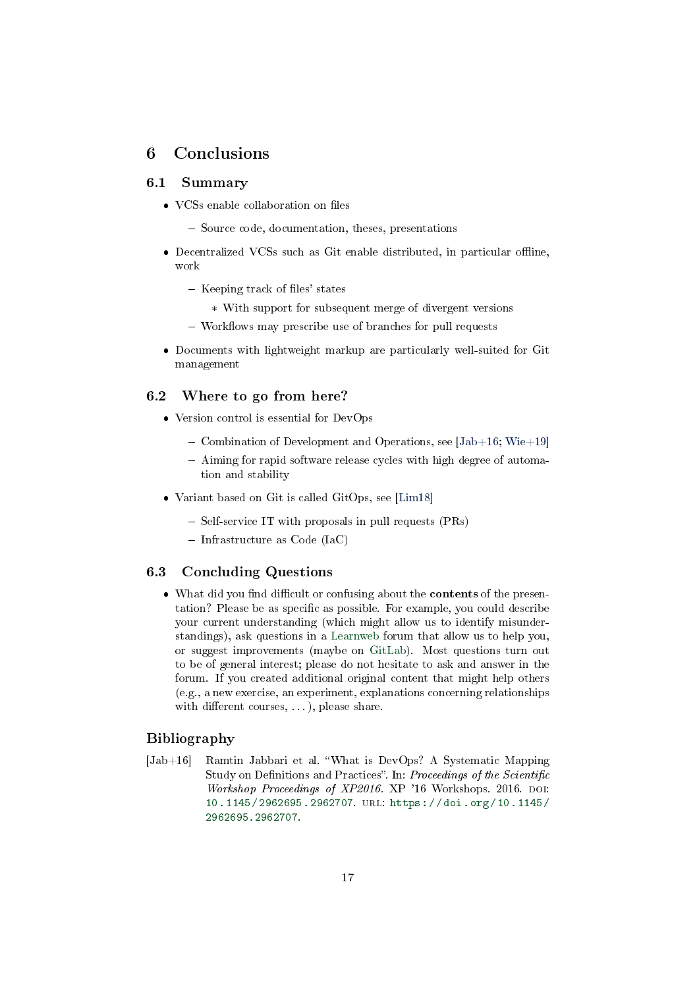## <span id="page-16-0"></span>6 Conclusions

### 6.1 Summary

- $\bullet$  VCSs enable collaboration on files
	- Source code, documentation, theses, presentations
- $\bullet$  Decentralized VCSs such as Git enable distributed, in particular offline, work
	- $-$  Keeping track of files' states
		- \* With support for subsequent merge of divergent versions
	- Workflows may prescribe use of branches for pull requests
- Documents with lightweight markup are particularly well-suited for Git management

### 6.2 Where to go from here?

- Version control is essential for DevOps
	- Combination of Development and Operations, see  $[Jab+16; Wie+19]$  $[Jab+16; Wie+19]$  $[Jab+16; Wie+19]$
	- Aiming for rapid software release cycles with high degree of automation and stability
- Variant based on Git is called GitOps, see [\[Lim18\]](#page-17-1)
	- Self-service IT with proposals in pull requests (PRs)
	- $-$  Infrastructure as Code (IaC)

### 6.3 Concluding Questions

• What did you find difficult or confusing about the **contents** of the presentation? Please be as specific as possible. For example, you could describe your current understanding (which might allow us to identify misunderstandings), ask questions in a [Learnweb](https://sso.uni-muenster.de/LearnWeb/learnweb2/course/view.php?id=51305) forum that allow us to help you, or suggest improvements (maybe on [GitLab\)](https://gitlab.com/oer/oer-courses/cacs/). Most questions turn out to be of general interest; please do not hesitate to ask and answer in the forum. If you created additional original content that might help others (e.g., a new exercise, an experiment, explanations concerning relationships with different courses,  $\dots$ ), please share.

## Bibliography

<span id="page-16-1"></span>[Jab+16] Ramtin Jabbari et al. What is DevOps? A Systematic Mapping Study on Definitions and Practices". In: Proceedings of the Scientific Workshop Proceedings of XP2016. XP '16 Workshops. 2016. DOI: [10.1145/2962695.2962707.](https://doi.org/10.1145/2962695.2962707) url: [https://doi.org/10.1145/](https://doi.org/10.1145/2962695.2962707) [2962695.2962707.](https://doi.org/10.1145/2962695.2962707)